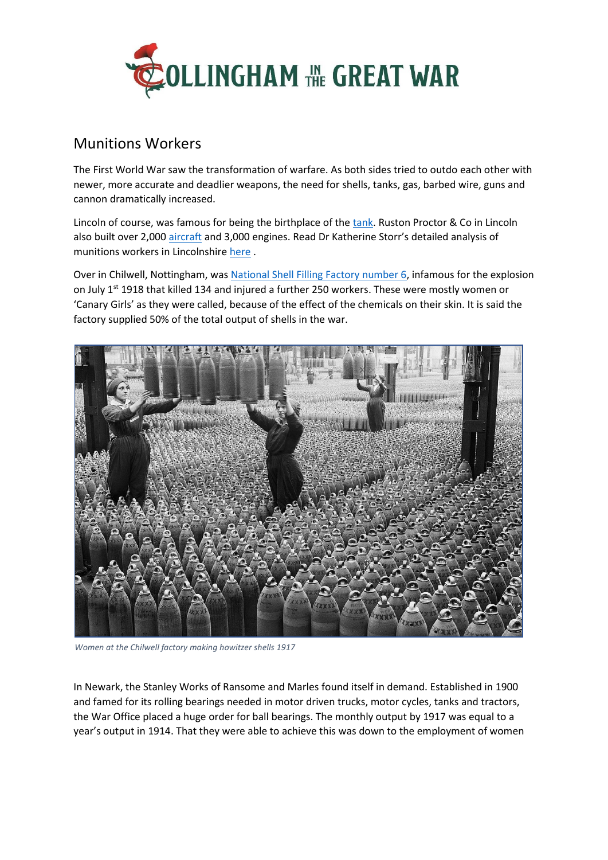

## Munitions Workers

The First World War saw the transformation of warfare. As both sides tried to outdo each other with newer, more accurate and deadlier weapons, the need for shells, tanks, gas, barbed wire, guns and cannon dramatically increased.

Lincoln of course, was famous for being the birthplace of th[e tank.](https://www.visitlincoln.com/about-lincoln/history-heritage/birthplace-of-the-tank) Ruston Proctor & Co in Lincoln also built over 2,000 [aircraft](http://beyondthetrenches.co.uk/aircraft-built-in-lincoln-the-home-of-the-tank/) and 3,000 engines. Read Dr Katherine Storr's detailed analysis of munitions workers in Lincolnshire [here](https://www.southhollandlife.com/wp-content/uploads/2013/05/AOS-D-0164-4_Munitions.pdf) .

Over in Chilwell, Nottingham, was [National Shell Filling Factory](https://en.wikipedia.org/wiki/National_Shell_Filling_Factory,_Chilwell) number 6, infamous for the explosion on July 1<sup>st</sup> 1918 that killed 134 and injured a further 250 workers. These were mostly women or 'Canary Girls' as they were called, because of the effect of the chemicals on their skin. It is said the factory supplied 50% of the total output of shells in the war.



*Women at the Chilwell factory making howitzer shells 1917* 

In Newark, the Stanley Works of Ransome and Marles found itself in demand. Established in 1900 and famed for its rolling bearings needed in motor driven trucks, motor cycles, tanks and tractors, the War Office placed a huge order for ball bearings. The monthly output by 1917 was equal to a year's output in 1914. That they were able to achieve this was down to the employment of women